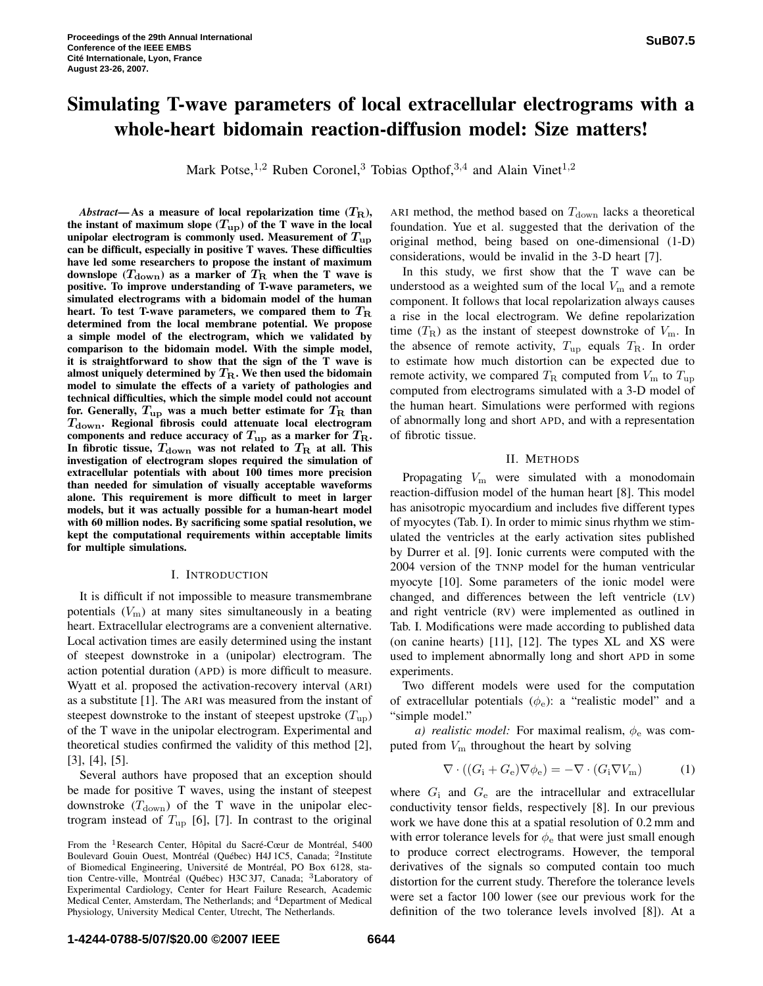# **Simulating T-wave parameters of local extracellular electrograms with a whole-heart bidomain reaction-diffusion model: Size matters!**

Mark Potse,<sup>1,2</sup> Ruben Coronel,<sup>3</sup> Tobias Opthof,<sup>3,4</sup> and Alain Vinet<sup>1,2</sup>

*Abstract*—As a measure of local repolarization time  $(T_R)$ , **the instant** of **maximum** slope  $(T_{\text{up}})$  of the T wave in the local **unipolar** electrogram is commonly used. Measurement of  $T_{\text{up}}$ **can be difficult, especially in positive T waves. These difficulties have led some researchers to propose the instant of maximum downslope**  $(T_{\text{down}})$  as a marker of  $T_{\text{R}}$  when the T wave is **positive. To improve understanding of T-wave parameters, we simulated electrograms with a bidomain model of the human heart. To test T-wave parameters, we compared them to** T<sup>R</sup> **determined from the local membrane potential. We propose a simple model of the electrogram, which we validated by comparison to the bidomain model. With the simple model, it is straightforward to show that the sign of the T wave is almost uniquely determined by**  $T_R$ **. We then used the bidomain model to simulate the effects of a variety of pathologies and technical difficulties, which the simple model could not account for.** Generally,  $T_{\text{up}}$  was a much better estimate for  $T_{\text{R}}$  than Tdown**. Regional fibrosis could attenuate local electrogram components** and **reduce** accuracy of  $T_{\text{up}}$  as a marker for  $T_{\text{R}}$ . In fibrotic tissue,  $T_{\text{down}}$  was not related to  $T_{\text{R}}$  at all. This **investigation of electrogram slopes required the simulation of extracellular potentials with about 100 times more precision than needed for simulation of visually acceptable waveforms alone. This requirement is more difficult to meet in larger models, but it was actually possible for a human-heart model with 60 million nodes. By sacrificing some spatial resolution, we kept the computational requirements within acceptable limits for multiple simulations.**

# I. INTRODUCTION

It is difficult if not impossible to measure transmembrane potentials  $(V<sub>m</sub>)$  at many sites simultaneously in a beating heart. Extracellular electrograms are a convenient alternative. Local activation times are easily determined using the instant of steepest downstroke in a (unipolar) electrogram. The action potential duration (APD) is more difficult to measure. Wyatt et al. proposed the activation-recovery interval (ARI) as a substitute [1]. The ARI was measured from the instant of steepest downstroke to the instant of steepest upstroke  $(T_{\text{up}})$ of the T wave in the unipolar electrogram. Experimental and theoretical studies confirmed the validity of this method [2], [3], [4], [5].

Several authors have proposed that an exception should be made for positive T waves, using the instant of steepest downstroke  $(T<sub>down</sub>)$  of the T wave in the unipolar electrogram instead of  $T_{\text{up}}$  [6], [7]. In contrast to the original ARI method, the method based on  $T_{\text{down}}$  lacks a theoretical foundation. Yue et al. suggested that the derivation of the original method, being based on one-dimensional (1-D) considerations, would be invalid in the 3-D heart [7].

In this study, we first show that the T wave can be understood as a weighted sum of the local  $V<sub>m</sub>$  and a remote component. It follows that local repolarization always causes a rise in the local electrogram. We define repolarization time  $(T_{\rm R})$  as the instant of steepest downstroke of  $V_{\rm m}$ . In the absence of remote activity,  $T_{\text{up}}$  equals  $T_{\text{R}}$ . In order to estimate how much distortion can be expected due to remote activity, we compared  $T_R$  computed from  $V_m$  to  $T_{up}$ computed from electrograms simulated with a 3-D model of the human heart. Simulations were performed with regions of abnormally long and short APD, and with a representation of fibrotic tissue.

# II. METHODS

Propagating  $V_m$  were simulated with a monodomain reaction-diffusion model of the human heart [8]. This model has anisotropic myocardium and includes five different types of myocytes (Tab. I). In order to mimic sinus rhythm we stimulated the ventricles at the early activation sites published by Durrer et al. [9]. Ionic currents were computed with the 2004 version of the TNNP model for the human ventricular myocyte [10]. Some parameters of the ionic model were changed, and differences between the left ventricle (LV) and right ventricle (RV) were implemented as outlined in Tab. I. Modifications were made according to published data (on canine hearts) [11], [12]. The types XL and XS were used to implement abnormally long and short APD in some experiments.

Two different models were used for the computation of extracellular potentials  $(\phi_e)$ : a "realistic model" and a "simple model."

*a) realistic model:* For maximal realism,  $\phi_e$  was computed from  $V<sub>m</sub>$  throughout the heart by solving

$$
\nabla \cdot ((G_i + G_e) \nabla \phi_e) = -\nabla \cdot (G_i \nabla V_m) \tag{1}
$$

where  $G_i$  and  $G_e$  are the intracellular and extracellular conductivity tensor fields, respectively [8]. In our previous work we have done this at a spatial resolution of 0.2 mm and with error tolerance levels for  $\phi_e$  that were just small enough to produce correct electrograms. However, the temporal derivatives of the signals so computed contain too much distortion for the current study. Therefore the tolerance levels were set a factor 100 lower (see our previous work for the definition of the two tolerance levels involved [8]). At a

From the <sup>1</sup>Research Center, Hôpital du Sacré-Cœur de Montréal, 5400 Boulevard Gouin Ouest, Montréal (Québec) H4J 1C5, Canada; <sup>2</sup>Institute of Biomedical Engineering, Université de Montréal, PO Box 6128, station Centre-ville, Montréal (Québec) H3C 3J7, Canada; <sup>3</sup>Laboratory of Experimental Cardiology, Center for Heart Failure Research, Academic Medical Center, Amsterdam, The Netherlands; and <sup>4</sup>Department of Medical Physiology, University Medical Center, Utrecht, The Netherlands.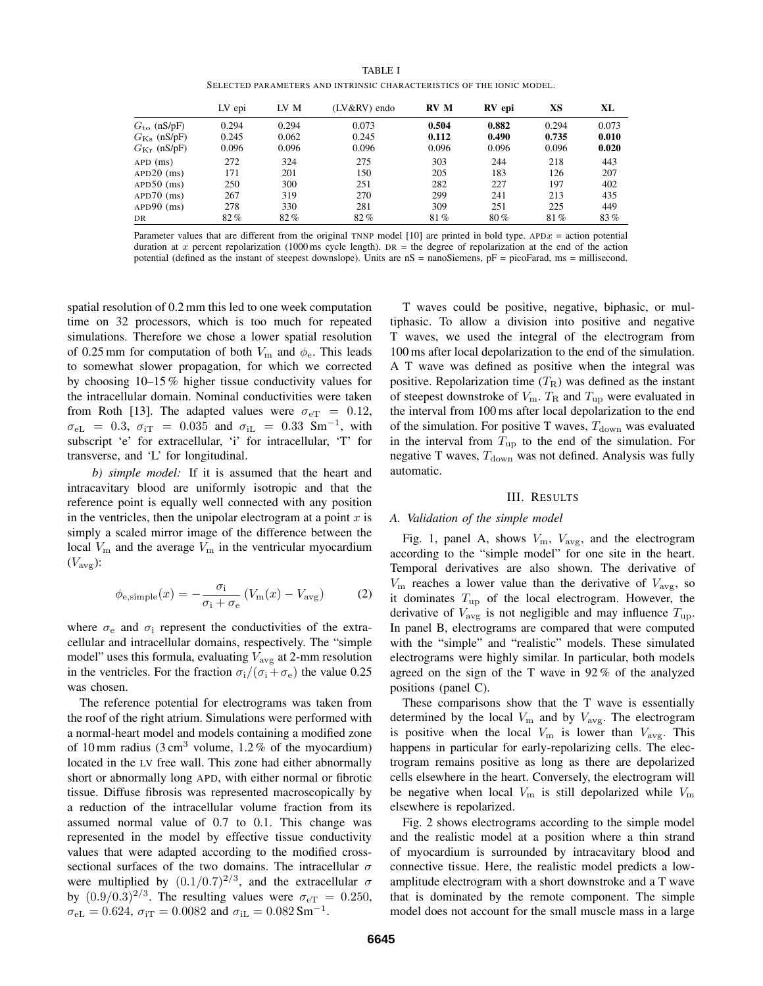TABLE I

SELECTED PARAMETERS AND INTRINSIC CHARACTERISTICS OF THE IONIC MODEL.

|                         | LV epi | LV M   | (LV&RV) endo | <b>RV</b> M | RV epi | XS    | XL    |
|-------------------------|--------|--------|--------------|-------------|--------|-------|-------|
| $Gto$ (nS/pF)           | 0.294  | 0.294  | 0.073        | 0.504       | 0.882  | 0.294 | 0.073 |
| $G_{\text{Ks}}$ (nS/pF) | 0.245  | 0.062  | 0.245        | 0.112       | 0.490  | 0.735 | 0.010 |
| $G_{\text{Kr}}$ (nS/pF) | 0.096  | 0.096  | 0.096        | 0.096       | 0.096  | 0.096 | 0.020 |
| $APD$ (ms)              | 272    | 324    | 275          | 303         | 244    | 218   | 443   |
| $APD20$ (ms)            | 171    | 201    | 150          | 205         | 183    | 126   | 207   |
| $APD50$ (ms)            | 250    | 300    | 251          | 282         | 227    | 197   | 402   |
| $APD70$ (ms)            | 267    | 319    | 270          | 299         | 241    | 213   | 435   |
| $APD90$ (ms)            | 278    | 330    | 281          | 309         | 251    | 225   | 449   |
| DR                      | 82%    | $82\%$ | 82%          | 81%         | 80%    | 81%   | 83%   |

Parameter values that are different from the original TNNP model [10] are printed in bold type. APD $x =$  action potential duration at x percent repolarization (1000 ms cycle length).  $DR =$  the degree of repolarization at the end of the action potential (defined as the instant of steepest downslope). Units are nS = nanoSiemens, pF = picoFarad, ms = millisecond.

spatial resolution of 0.2 mm this led to one week computation time on 32 processors, which is too much for repeated simulations. Therefore we chose a lower spatial resolution of 0.25 mm for computation of both  $V_{\rm m}$  and  $\phi_{\rm e}$ . This leads to somewhat slower propagation, for which we corrected by choosing 10–15 % higher tissue conductivity values for the intracellular domain. Nominal conductivities were taken from Roth [13]. The adapted values were  $\sigma_{\text{eT}} = 0.12$ ,  $\sigma_{eL}$  = 0.3,  $\sigma_{iT}$  = 0.035 and  $\sigma_{iL}$  = 0.33 Sm<sup>-1</sup>, with subscript 'e' for extracellular, 'i' for intracellular, 'T' for transverse, and 'L' for longitudinal.

*b) simple model:* If it is assumed that the heart and intracavitary blood are uniformly isotropic and that the reference point is equally well connected with any position in the ventricles, then the unipolar electrogram at a point  $x$  is simply a scaled mirror image of the difference between the local  $V_{\rm m}$  and the average  $V_{\rm m}$  in the ventricular myocardium  $(V_{\text{avg}})$ :

$$
\phi_{\text{e,simple}}(x) = -\frac{\sigma_{\text{i}}}{\sigma_{\text{i}} + \sigma_{\text{e}}}(V_{\text{m}}(x) - V_{\text{avg}})
$$
(2)

where  $\sigma_e$  and  $\sigma_i$  represent the conductivities of the extracellular and intracellular domains, respectively. The "simple model" uses this formula, evaluating  $V_{\text{avg}}$  at 2-mm resolution in the ventricles. For the fraction  $\sigma_i/(\sigma_i + \sigma_e)$  the value 0.25 was chosen.

The reference potential for electrograms was taken from the roof of the right atrium. Simulations were performed with a normal-heart model and models containing a modified zone of 10 mm radius  $(3 \text{ cm}^3 \text{ volume}, 1.2\% \text{ of the myocardium})$ located in the LV free wall. This zone had either abnormally short or abnormally long APD, with either normal or fibrotic tissue. Diffuse fibrosis was represented macroscopically by a reduction of the intracellular volume fraction from its assumed normal value of 0.7 to 0.1. This change was represented in the model by effective tissue conductivity values that were adapted according to the modified crosssectional surfaces of the two domains. The intracellular  $\sigma$ were multiplied by  $(0.1/0.7)^{2/3}$ , and the extracellular  $\sigma$ by  $(0.9/0.3)^{2/3}$ . The resulting values were  $\sigma_{\text{eT}} = 0.250$ ,  $\sigma_{eL} = 0.624$ ,  $\sigma_{iT} = 0.0082$  and  $\sigma_{iL} = 0.082$  Sm<sup>-1</sup>.

T waves could be positive, negative, biphasic, or multiphasic. To allow a division into positive and negative T waves, we used the integral of the electrogram from 100 ms after local depolarization to the end of the simulation. A T wave was defined as positive when the integral was positive. Repolarization time  $(T_R)$  was defined as the instant of steepest downstroke of  $V_{\text{m}}$ .  $T_{\text{R}}$  and  $T_{\text{up}}$  were evaluated in the interval from 100 ms after local depolarization to the end of the simulation. For positive T waves,  $T_{down}$  was evaluated in the interval from  $T_{\text{up}}$  to the end of the simulation. For negative T waves,  $T_{\text{down}}$  was not defined. Analysis was fully automatic.

# III. RESULTS

#### *A. Validation of the simple model*

Fig. 1, panel A, shows  $V_{\text{m}}$ ,  $V_{\text{avg}}$ , and the electrogram according to the "simple model" for one site in the heart. Temporal derivatives are also shown. The derivative of  $V_{\rm m}$  reaches a lower value than the derivative of  $V_{\rm ave}$ , so it dominates  $T_{\text{up}}$  of the local electrogram. However, the derivative of  $V_{\text{avg}}$  is not negligible and may influence  $T_{\text{up}}$ . In panel B, electrograms are compared that were computed with the "simple" and "realistic" models. These simulated electrograms were highly similar. In particular, both models agreed on the sign of the T wave in 92 % of the analyzed positions (panel C).

These comparisons show that the T wave is essentially determined by the local  $V_{\text{m}}$  and by  $V_{\text{avg}}$ . The electrogram is positive when the local  $V_{\text{m}}$  is lower than  $V_{\text{avg}}$ . This happens in particular for early-repolarizing cells. The electrogram remains positive as long as there are depolarized cells elsewhere in the heart. Conversely, the electrogram will be negative when local  $V_{\text{m}}$  is still depolarized while  $V_{\text{m}}$ elsewhere is repolarized.

Fig. 2 shows electrograms according to the simple model and the realistic model at a position where a thin strand of myocardium is surrounded by intracavitary blood and connective tissue. Here, the realistic model predicts a lowamplitude electrogram with a short downstroke and a T wave that is dominated by the remote component. The simple model does not account for the small muscle mass in a large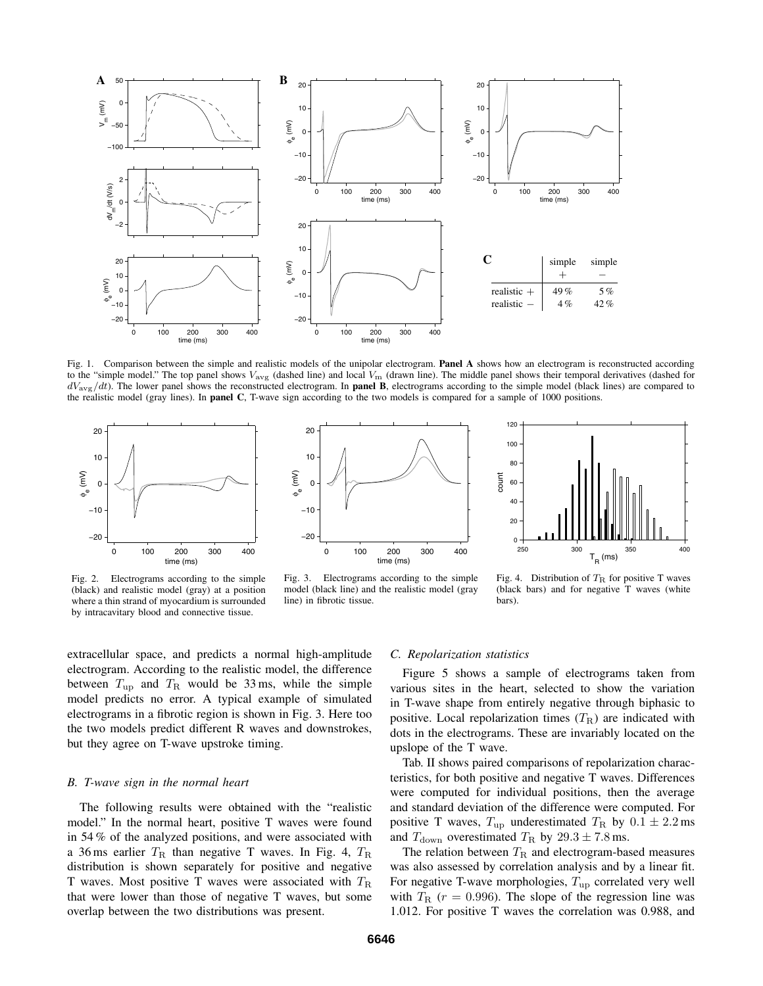

Fig. 1. Comparison between the simple and realistic models of the unipolar electrogram. **Panel A** shows how an electrogram is reconstructed according to the "simple model." The top panel shows  $V_{\text{avg}}$  (dashed line) and local  $V_{\text{m}}$  (drawn line). The middle panel shows their temporal derivatives (dashed for  $dV_{\text{avg}}/dt$ ). The lower panel shows the reconstructed electrogram. In **panel B**, electrograms according to the simple model (black lines) are compared to the realistic model (gray lines). In **panel C**, T-wave sign according to the two models is compared for a sample of 1000 positions.



Fig. 2. Electrograms according to the simple (black) and realistic model (gray) at a position where a thin strand of myocardium is surrounded by intracavitary blood and connective tissue.





Fig. 3. Electrograms according to the simple model (black line) and the realistic model (gray line) in fibrotic tissue.

Fig. 4. Distribution of  $T_R$  for positive T waves (black bars) and for negative T waves (white bars).

extracellular space, and predicts a normal high-amplitude electrogram. According to the realistic model, the difference between  $T_{\text{up}}$  and  $T_{\text{R}}$  would be 33 ms, while the simple model predicts no error. A typical example of simulated electrograms in a fibrotic region is shown in Fig. 3. Here too the two models predict different R waves and downstrokes, but they agree on T-wave upstroke timing.

### *B. T-wave sign in the normal heart*

The following results were obtained with the "realistic model." In the normal heart, positive T waves were found in 54 % of the analyzed positions, and were associated with a 36 ms earlier  $T_R$  than negative T waves. In Fig. 4,  $T_R$ distribution is shown separately for positive and negative T waves. Most positive T waves were associated with  $T<sub>R</sub>$ that were lower than those of negative T waves, but some overlap between the two distributions was present.

#### *C. Repolarization statistics*

Figure 5 shows a sample of electrograms taken from various sites in the heart, selected to show the variation in T-wave shape from entirely negative through biphasic to positive. Local repolarization times  $(T_R)$  are indicated with dots in the electrograms. These are invariably located on the upslope of the T wave.

Tab. II shows paired comparisons of repolarization characteristics, for both positive and negative T waves. Differences were computed for individual positions, then the average and standard deviation of the difference were computed. For positive T waves,  $T_{\text{up}}$  underestimated  $T_{\text{R}}$  by  $0.1 \pm 2.2 \text{ ms}$ and  $T_{\text{down}}$  overestimated  $T_{\text{R}}$  by  $29.3 \pm 7.8$  ms.

The relation between  $T_R$  and electrogram-based measures was also assessed by correlation analysis and by a linear fit. For negative T-wave morphologies,  $T_{\text{up}}$  correlated very well with  $T_{\rm R}$  ( $r = 0.996$ ). The slope of the regression line was 1.012. For positive T waves the correlation was 0.988, and